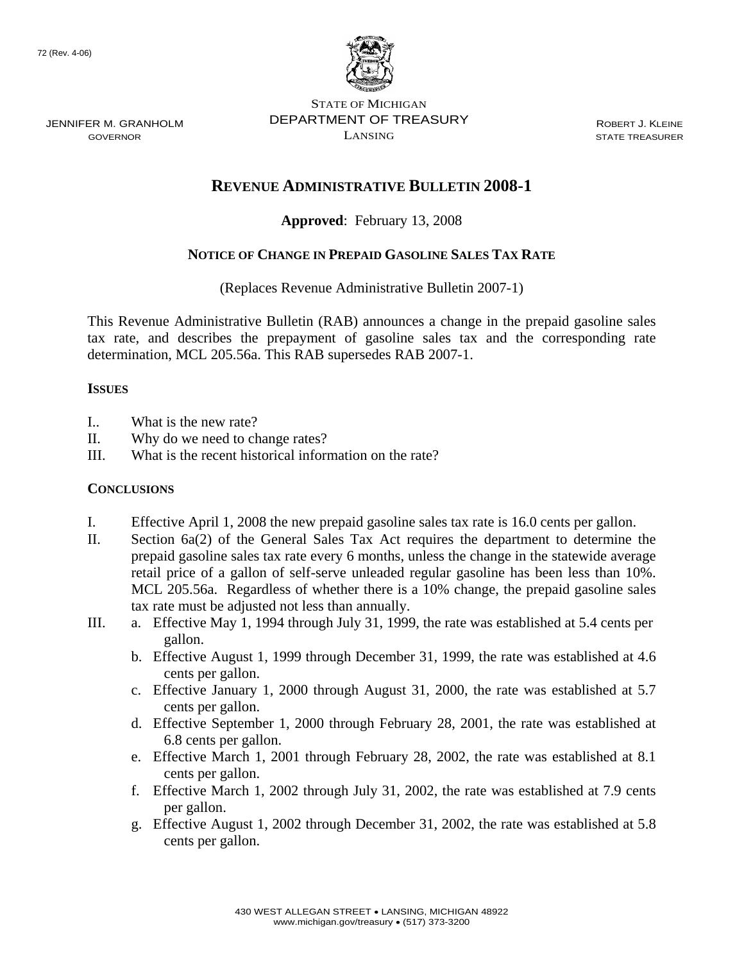

STATE OF MICHIGAN DEPARTMENT OF TREASURY LANSING

ROBERT J. KLEINE STATE TREASURER

# **REVENUE ADMINISTRATIVE BULLETIN 2008-1**

## **Approved**: February 13, 2008

## **NOTICE OF CHANGE IN PREPAID GASOLINE SALES TAX RATE**

(Replaces Revenue Administrative Bulletin 2007-1)

This Revenue Administrative Bulletin (RAB) announces a change in the prepaid gasoline sales tax rate, and describes the prepayment of gasoline sales tax and the corresponding rate determination, MCL 205.56a. This RAB supersedes RAB 2007-1.

#### **ISSUES**

- I.. What is the new rate?
- II. Why do we need to change rates?
- III. What is the recent historical information on the rate?

#### **CONCLUSIONS**

- I. Effective April 1, 2008 the new prepaid gasoline sales tax rate is 16.0 cents per gallon.
- II. Section 6a(2) of the General Sales Tax Act requires the department to determine the prepaid gasoline sales tax rate every 6 months, unless the change in the statewide average retail price of a gallon of self-serve unleaded regular gasoline has been less than 10%. MCL 205.56a. Regardless of whether there is a 10% change, the prepaid gasoline sales tax rate must be adjusted not less than annually.
- III. a. Effective May 1, 1994 through July 31, 1999, the rate was established at 5.4 cents per gallon.
	- b. Effective August 1, 1999 through December 31, 1999, the rate was established at 4.6 cents per gallon.
	- c. Effective January 1, 2000 through August 31, 2000, the rate was established at 5.7 cents per gallon.
	- d. Effective September 1, 2000 through February 28, 2001, the rate was established at 6.8 cents per gallon.
	- e. Effective March 1, 2001 through February 28, 2002, the rate was established at 8.1 cents per gallon.
	- f. Effective March 1, 2002 through July 31, 2002, the rate was established at 7.9 cents per gallon.
	- g. Effective August 1, 2002 through December 31, 2002, the rate was established at 5.8 cents per gallon.

JENNIFER M. GRANHOLM GOVERNOR